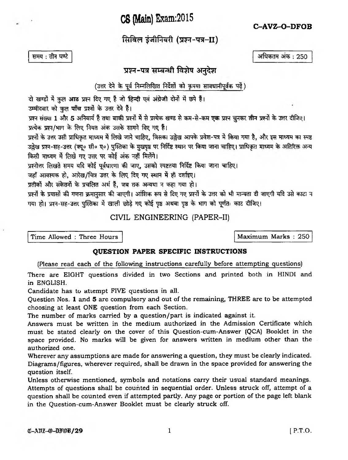**C8 (Main) Exam:2015**

**' C-AVZ-O-DFOB**

सिविल इंजीनियरी (प्रश्न-पत्र-II)

समय: तीन घण्टे

अधिकतम अंक: 250

## प्रश्न-पत्र सम्बन्धी विशेष अनुदेश

(उत्तर देने के पूर्व निम्नलिखित निर्देशों को कृपया सावधानीपूर्वक पढ़ें)

दो खण्डों में कुल आठ प्रश्न दिए गए हैं जो हिन्दी एवं अंग्रेजी दोनों में छपे हैं।

उम्मीदवार को कुल पाँच प्रश्नों के उत्तर देने हैं।

प्रश्न संख्या 1 और 5 अनिवार्य हैं तथा बाकी प्रश्नों में से प्रत्येक खण्ड से कम-से-कम एक प्रश्न चुनकर तीन प्रश्नों के उत्तर दीजिए। प्रत्येक प्रश्न/भाग के लिए नियत अंक उसके सामने दिए गए हैं।

प्रश्नों के उत्तर उसी प्राधिकृत माध्यम में लिखे जाने चाहिए, जिसका उल्लेख आपके प्रवेश-पत्र में किया गया है, और इस माध्यम का स्पष्ट उल्लेख प्रश्न-सह-उत्तर (क्यू॰ सी॰ ए॰) पुस्तिका के मुखपृष्ठ पर निर्दिष्ट स्थान पर किया जाना चाहिए। प्राधिकृत माध्यम के अतिरिक्त अन्य किसी माध्यम में लिखे गए उत्तर पर कोई अंक नहीं मिलेंगे।

प्रश्नोत्तर लिखते समय यदि कोई पूर्वधारणा की जाए, उसको स्पष्टतया निर्दिष्ट किया जाना चाहिए।

जहाँ आवश्यक हो, आरेख/चित्र उत्तर के लिए दिए गए स्थान में ही दर्शाइए।

प्रतीकों और संकेतनों के प्रचलित अर्थ हैं, जब तक अन्यथा न कहा गया हो।

प्रश्नों के प्रयासों की गणना क्रमानुसार की जाएगी। आंशिक रूप से दिए गए प्रश्नों के उत्तर को भी मान्यता दी जाएगी यदि उसे काटा न गया हो। प्रश्न-सह-उत्तर पुस्तिका में खाली छोड़े गए कोई पृष्ठ अथवा पृष्ठ के भाग को पूर्णतः काट दीजिए।

CIVIL ENGINEERING (PAPER-II)

Time Allowed : Three Hours Maximum Marks : 250

## **QUESTION PAPER SPECIFIC INSTRUCTIONS**

(Please read each of the following instructions carefully before attempting questions)

There are EIGHT questions divided in two Sections and printed both in HINDI and in ENGLISH.

Candidate has to attempt FIVE questions in all.

Question Nos. 1 and 5 are compulsory and out of the remaining, THREE are to be attempted choosing at least ONE question from each Section.

The number of marks carried by a question/part is indicated against it.

Answers must be written in the medium authorized in the Admission Certificate which must be stated clearly on the cover of this Question-cum-Answer (QCA) Booklet in the space provided. No marks will be given for answers written in medium other than the authorized one.

Wherever any assumptions are made for answering a question, they must be clearly indicated. Diagrams/figures, wherever required, shall be drawn in the space provided for answering the question itself.

Unless otherwise mentioned, symbols and notations carry their usual standard meanings. Attempts of questions shall be counted in sequential order. Unless struck off, attempt of a question shall be counted even if attempted partly. Any page or portion of the page left blank in the Question-cum-Answer Booklet must be clearly struck off.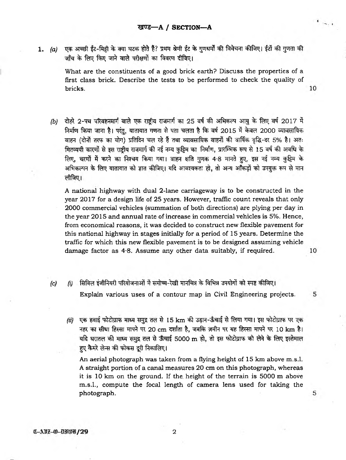1. *(a)* एक अच्छी ईंट-मिट्री के क्या घटक होते हैं? प्रथम श्रेणी ईंट के गुणधर्मों की विवेचना कीजिए। ईंटों की गुणता की जाँच के लिए किए जाने वाले परीक्षणों का विवरण दीजिए।

What are the constituents of a good brick earth? Discuss the properties of a first class brick. Describe the tests to be performed to check the quality of bricks. 10

*(b)* दोहरे 2-पथ परिवहनमार्ग वाले एक राष्टीय राजमार्ग का 25 वर्ष की अभिकल्प आयु के लिए वर्ष 2017 में निर्माण किया जाना है। परंतु, यातायात गणना से पता चलता है कि वर्ष 2015 में केवल 2000 व्यावसायिक वाहन (दोनों तरफ का योग) प्रतिदिन चल रहे हैं तथा व्यावसायिक वाहनों की वार्षिक वृद्धि-दर 5% है। अतः मितव्ययी कारणों से इस राष्ट्रीय राजमार्ग की नई नम्य कुट्टिम का निर्माण, प्रारम्भिक रूप से 15 वर्ष की अवधि के लिए, चरणों में करने का निश्चय किया गया। वाहन क्षति गुणक 4.8 मानते हुए, इस नई नम्य कुट्टिम के अभिकल्पन के लिए यातायात को ज्ञात कीजिए। यदि आवश्यकता हो, तो अन्य आँकडों को उपयुक्त रूप से मान लीजिए।

A national highway with dual 2-lane carriageway is to be constructed in the year 2017 for a design life of 25 years. However, traffic count reveals that only 2000 commercial vehicles (summation of both directions) are plying per day in the year 2015 and annual rate of increase in commercial vehicles is 5%. Hence, from economical reasons, it was decided to construct new flexible pavement for this national highway in stages initially for a period of 15 years. Determine the traffic for which this new flexible pavement is to be designed assuming vehicle damage factor as 4\*8. Assume any other data suitably, if required.

10

5

5

- *(c) (i)* सिविल इंजीनियरी परियोजनाओं में समोच्च-रेखी मानचित्र के विभिन्न उपयोगों को स्पष्ट कीजिए। Explain various uses of a contour map in Civil Engineering projects.
	- *(ii)* एक हवाई फोटोग्राफ माध्य समुद्र तल से 15 km की उड़ान-ऊँचाई से लिया गया। इस फोटोग्राफ पर एक *नह*र का सीधा हिस्सा मापने पर 20 cm दर्शाता है, जबकि ज़मीन पर यह हिस्सा मापने पर 10 km है। यदि धरातल की माध्य समुद्र तल से ऊँचाई 5000 m हो, तो इस फोटोग्राफ को लेने के लिए इस्तेमाल हए कैमरे लेन्स की फोकस दूरी निकालिए।

An aerial photograph was taken from a flying height of 15 km above m.s.l. A straight portion of a canal measures 20 cm on this photograph, whereas it is 10 km on the ground. If the height of the terrain is 5000 m above m.s.l., compute the focal length of camera lens used for taking the photograph.

C-ABZ-O-DFOB/29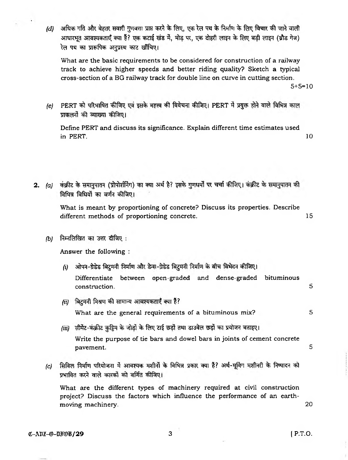*(d)* अधिक गति और बेहतर सवारी गुणवत्ता प्राप्त करने के लिए, एक रेल पथ के निर्माण के लिए विचार की जाने वाली आधारभूत आवश्यकताएँ क्या हैं? एक कटाई खंड में, मोड़ पर, एक दोहरी लाइन के लिए बड़ी लाइन (ब्रौड गेज) रेल पथ का प्रारूपिक अनप्रस्थ काट खींचिए।

What are the basic requirements to be considered for construction of a railway track to achieve higher speeds and better riding quality? Sketch a typical cross-section of a BG railway track for double line on curve in cutting section.

 $5+5=10$ 

*(e)* PERT को परिभाषित कीजिए एवं इसके महत्त्व की विवेचना कीजिए। PERT में प्रयुक्त होने वाले विभिन्न काल प्राकलनों की व्याख्या कीजिए।

Define PERT and discuss its significance. Explain different time estimates used in PERT.  $10$ 

2. (a) कंक्रीट के समानुपातन (प्रोपोर्शनिंग) का क्या अर्थ है? इसके गुणधर्मों पर चर्चा कीजिए। कंक्रीट के समानुपातन की विभिन्न विधियों का वर्णन कीजिए।

> What is meant by proportioning of concrete? Discuss its properties. Describe different methods of proportioning concrete. 15

*(b)* निम्नलिखित का उत्तर दीजिए:

Answer the following :

*(i)* ओपन-ग्रेडेड बिटुमनी निर्माण और डेन्स-ग्रेडेड बिटुमनी निर्माण के बीच विभेदन कीजिए। Differentiate between open-graded and dense-graded bituminous construction. 5 *(ii)* बिटमनी मिश्रण की सामान्य आवश्यकताएँ क्या हैं?

What are the general requirements of a bituminous mix? 5

- *(iii)* सीमेंट-कंक्रीट कुट्टिम के जोड़ों के लिए टाई छड़ों तथा डाउवेल छड़ों का प्रयोजन बताइए। Write the purpose of tie bars and dowel bars in joints of cement concrete pavement. 5
- *(c)* सिविल निर्माण परियोजना में आवश्यक मशीनों के विभिन्न प्रकार क्या हैं? अर्थ-मूर्विग मशीनरी के निष्पादन को प्रभावित करने वाले कारकों को वर्णित कीजिए।

What are the different types of machinery required at civil construction project? Discuss the factors which influence the performance of an earthmoving machinery. 20

*c*-Anz- $\omega$ -BF $\omega$ **29** [ P.T.O.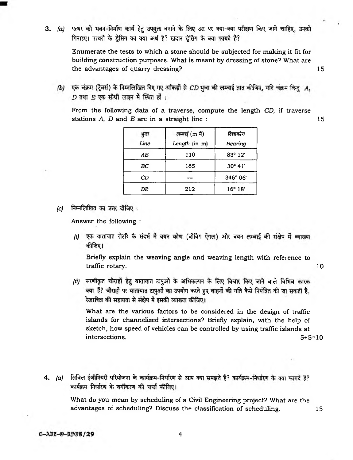3. (a) पत्थर को भवन-निर्माण कार्य हेतु उपयुक्त बनाने के लिए उस पर क्या-क्या परीक्षण किए जाने चाहिए, उनको गिनाइए। पत्थरों के डेसिंग का क्या अर्थ है? खदान डेसिंग के क्या फायदे हैं?

> Enumerate the tests to which a stone should be subjected for making it fit for building construction purposes. What is meant by dressing of stone? What are the advantages of quarry dressing? 15

(b) एक चंक्रम (ट्रैवर्स) के निम्नलिखित दिए गए आँकड़ों से CD भुजा की लम्बाई ज्ञात कीजिए, यदि चंक्रम बिन्दु A,  $D$  तथा  $E$  एक सीधी लाइन में स्थित हों :

From the following data of a traverse, compute the length *CD,* if traverse stations *A*, *D* and *B* are in a straight line : 15

| भुजा | लम्बाई (m में) | दिशाकोण          |  |
|------|----------------|------------------|--|
| Line | Length (in m)  | Bearing          |  |
| AВ   | 110            | $83^{\circ} 12'$ |  |
| BС   | 165            | $30^{\circ}$ 41' |  |
| СD   |                | 346° 06'         |  |
| DE   | 212            | $16^{\circ} 18'$ |  |

*(c)* निम्नलिखित का उत्तर दीजिए :

Answer the following :

*(i)* एक यातायात रोटरि के संदर्भ में वयन कोण (वीर्विग ऐंगल) और वयन लम्बाई की संक्षेप में व्याख्या कीजिए।

Briefly explain the weaving angle and weaving length with reference to traffic rotary. 10

*(ii)* सरणीकृत चौराहों हेतु यातायात टापुओं के अभिकल्पन के लिए विचार किए जाने वाले विभिन्न कारक क्या हैं? चौराहों पर यातायात टापुओं का उपयोग करते हुए वाहनों की गति कैसे नियंत्रित की जा सकती है, रेखाचित्र की सहायता से संक्षेप में इसकी व्याख्या कीजिए।

What are the various factors to be considered in the design of traffic islands for channelized intersections? Briefly explain, with the help of sketch, how speed of vehicles can be controlled by using traffic islands at intersections. 5+5=10

4. (a) सिविल इंजीनियरी परियोजना के कार्यक्रम-निर्धारण से आप क्या समझते हैं? कार्यक्रम-निर्धारण के क्या फायदे हैं? कार्यक्रम-निर्धारण के वर्गीकरण की चर्चा कीजिए।

What do you mean by scheduling of a Civil Engineering project? What are the advantages of scheduling? Discuss the classification of scheduling. 15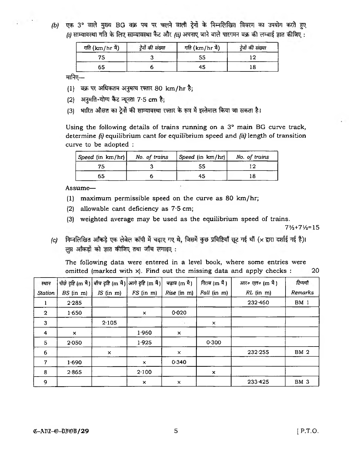*(b)* एक 3° वाले मुख्य BG वक्र पथ पर चलने वाली टेर्नो के निम्नलिखित विवरण का उपयोग करते हुए  $f(t)$  साम्यावस्था गति के लिए साम्यावस्था कैंट और *fiil अ*पनाए जाने वाले पारगमन वक्र की लम्बाई ज्ञात कीजिए :

| <i>गति</i> (km/hr में) | ट्रेनों की संख्या | <i>गति</i> (km/hr में) | ट्रेनों की संख्या |
|------------------------|-------------------|------------------------|-------------------|
| 75                     |                   |                        |                   |
| 65                     |                   | 45                     |                   |

मानिए $-$ 

- (1) ^ ^ artery *^ r n* W 80 km/hr *%;*
- (2) अनुमति-योग्य कैंट न्यूनता 7.5 cm है;
- (3) भारित औसत का ट्रेनों की साम्यावस्था रफ्तार के रूप में इस्तेमाल किया जा सकता है।

Using the following details of trains running on a 3° main BG curve track, determine *(i)* equilibrium cant for equilibrium speed and *(ii)* length of transition curve to be adopted :

| Speed (in $km/hr$ ) No. of trains | Speed (in km/hr) | No. of trains |  |
|-----------------------------------|------------------|---------------|--|
|                                   | 55               |               |  |
| 65                                | 45               |               |  |

Assume—

- (1) maximum permissible speed on the curve as 80 km/hr;
- (2) allowable cant deficiency as 7\*5 cm;
- (3) weighted average may be used as the equilibrium speed of trains.

 $7\frac{1}{2}$ +7 $\frac{1}{2}$ =15

*(c)* निम्नलिखित आँकडे एक लेबेल कॉपी में चढाए गए थे, जिसमें कुछ प्रविष्टियाँ छूट गई थीं (x द्वारा दर्शाई गई है)। लुप्त आँकड़ों को ज्ञात कीजिए तथा जाँच लगाइए:

The following data were entered in a level book, where some entries were omitted (marked with  $x$ ). Find out the missing data and apply checks : 20

| स्थान        |                           |                | पीछे दृष्टि (m में) बीच दृष्टि (m में) आगे दृष्टि (m में) | <i>चढ़ाव</i> (m मै)       | <i>गिराव (m</i> में )     | आर० एल० (m में) | टिप्पणी     |
|--------------|---------------------------|----------------|-----------------------------------------------------------|---------------------------|---------------------------|-----------------|-------------|
| Station      | $BS$ (in $m$ )            | $IS$ (in $m$ ) | $FS$ (in $m$ )                                            | Rise (in m)               | Fall (in m)               | $RL$ (in m)     | Remarks     |
|              | 2.285                     |                |                                                           |                           |                           | 232-460         | <b>BM</b> 1 |
| $\mathbf{2}$ | 1.650                     |                | $\times$                                                  | 0.020                     |                           |                 |             |
| $\mathbf{3}$ |                           | 2.105          |                                                           | $\ddot{\phantom{0}}$      | $\times$                  |                 |             |
| 4            | $\boldsymbol{\mathsf{x}}$ |                | 1.960                                                     | ×                         |                           |                 |             |
| 5            | 2.050                     |                | 1.925                                                     |                           | 0.300                     |                 |             |
| 6            |                           | $\times$       |                                                           | $\times$                  |                           | 232.255         | <b>BM 2</b> |
| 7            | 1.690                     |                | $\times$                                                  | 0.340                     |                           |                 |             |
| 8            | 2.865                     |                | 2.100                                                     |                           | $\boldsymbol{\mathsf{x}}$ |                 |             |
| 9            |                           |                | $\times$                                                  | $\boldsymbol{\mathsf{x}}$ |                           | 233.425         | <b>BM 3</b> |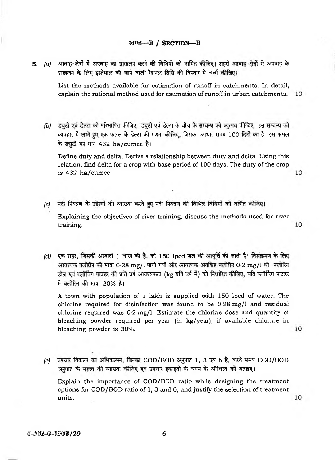## खण्ड-B / SECTION-B

5. (a) आवाह-क्षेत्रों में अपवाह का प्राकलन करने की विधियों को नामित कीजिए। शहरी आवाह-क्षेत्रों में अपवाह के प्राक्कलन के लिए इस्तेमाल की जाने वाली रैशनल विधि की विस्तार में चर्चा कीजिए।

> List the methods available for estimation of runoff in catchments. In detail, explain the rational method used for estimation of runoff in urban catchments. 10

*(b)* ड्युटी एवं डेल्टा को परिभाषित कीजिए। ड्युटी एवं डेल्टा के बीच के सम्बन्ध को व्युत्पन्न कीजिए। इस सम्बन्ध को व्यवहार में लाते हुए एक फसल के डेल्टा की गणना कीजिए, जिसका आधार समय 100 दिनों का है। इस फसल के ड्युटी का मान 432 ha/cumec है।

Define duty and delta. Derive a relationship between duty and delta. Using this relation, find delta for a crop with base period of 100 days. The duty of the crop 10 is 432 ha/cumec.

- *(c)* नदी नियंत्रण के उद्देश्यों की व्याख्या करते हुए नदी नियंत्रण की विभिन्न विधियों को वर्णित कीजिए। Explaining the objectives of river training, discuss the methods used for river 10 training.
- *(d)* एक शहर, जिसकी आबादी 1 लाख की है, को 150 lpcd जल की आपूर्ति की जाती है। विसंक्रमण के लिए आवश्यक क्लोरीन की मात्रा 0·28 mg/l पायी गयी और आवश्यक अवशिष्ट क्लोरीन 0·2 mg/l थी। क्लोरिन डोज़ एवं ब्लीचिंग पाउडर की प्रति वर्ष आवश्यकता (kg प्रति वर्ष में) को निर्धारित कीजिए, यदि ब्लीचिंग पाउडर में क्लोरिन की मात्रा 30% है।

A town with population of 1 lakh is supplied with 150 lpcd of water. The chlorine required for disinfection was found to be  $0.28 \text{ mg}/1$  and residual chlorine required was 0-2 mg/1. Estimate the chlorine dose and quantity of bleaching powder required per year (in kg/year), if available chlorine in bleaching powder is 30%.

*(e)* उपचार विकल्प का अभिकल्पन, जिनका COD/BOD अनुपात 1, 3 एवं 6 है, करते समय COD/BOD अनुपात के महत्त्व की व्याख्या कीजिए एवं उपचार इकाइयों के चयन के औचित्य को बताइए। Explain the importance of COD/BOD ratio while designing the treatment options for COD/BOD ratio of 1, 3 and 6, and justify the selection of treatment units.

10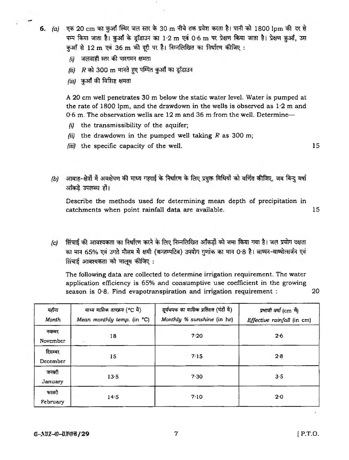6. (a) एक 20 cm का कुआँ स्थिर जल स्तर के 30 m नीचे तक प्रवेश करता है। पानी को 1800 lpm की दर से पम्प किया जाता है। कऔं के डॉडाउन का 1.2 m एवं 0.6 m पर प्रेक्षण किया जाता है। प्रेक्षण कऔं, उस कुआँ से 12 m एवं 36 m की दूरी पर हैं। निम्नलिखित का निर्धारण कीजिए:

- $\ddot{\omega}$  जलवाही स्तर की पारगमन क्षमता
- $f$ *ii)*  $R$  को 300  $m$  मानते हए पम्पित कुआँ का इाँडाउन
- *(iii)* कुआँ की विशिष्ट क्षमता

A 20 cm well penetrates 30 m below the static water level. Water is pumped at the rate of 1800 lpm, and the drawdown in the wells is observed as  $1.2$  m and 0.6 m. The observation wells are 12 m and 36 m from the well. Determine—

- *(i)* the transmissibility of the aquifer;
- *(ii)* the drawdown in the pumped well taking *R* as 300 m;
- *(iii)* the specific capacity of the well. 15

*(b)* आवाह-क्षेत्रों में अवक्षेपण की माध्य गहराई के निर्धारण के लिए प्रयुक्त विधियों को वर्णित कीजिए, जब बिन्दु वर्षा आँकडे उपलब्ध हो।

Describe the methods used for determining mean depth of precipitation in catchments when point rainfall data are available. 15

*(c)* सिंचाई की आवश्यकता का निर्धारण करने के लिए निम्नलिखित आँकडों को जमा किया गया है। जल प्रयोग दक्षता का मान 65% एवं उगते मौसम में क्षयी (कन्ज़म्पटिव) उपयोग गुणांक का मान 0.8 है। वाष्मन-वाष्पोत्सर्जन एवं सिंचाई आवश्यकता को मालम कीजिए :

The following data are collected to determine irrigation requirement. The water application efficiency is 65% and consumptive use coefficient in the growing season is 0.8. Find evapotranspiration and irrigation requirement : 20

*सर्यचमक का मासिक प्रतिशत (घंटों में) माध्य मासिक तापक्रम* (°C में) *Vfffor* प्रभावी वर्षा (cm मैं) *Mean monthly temp,* (in °C) *Monthly % sunshine* (in hr) *Month Effective rainfall* (in cm) नवम्बर 18 7-20 2-6 November दिसम्बर 15 2.8 December जनवरी 13-5 7-30 3-5 January फरवरी 14\*5 710 2-0 February

 $C = \frac{1}{2}$  and  $\frac{1}{2}$  and  $\frac{1}{2}$  and  $\frac{1}{2}$  and  $\frac{1}{2}$  and  $\frac{1}{2}$  and  $\frac{1}{2}$  and  $\frac{1}{2}$  and  $\frac{1}{2}$  and  $\frac{1}{2}$  and  $\frac{1}{2}$  and  $\frac{1}{2}$  and  $\frac{1}{2}$  and  $\frac{1}{2}$  and  $\frac{1}{2}$  and  $\frac{1}{2}$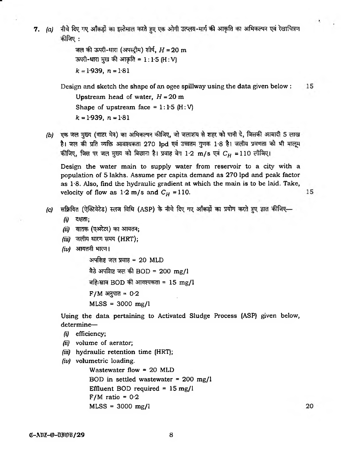7. (a) नीचे दिए गए आँकड़ों का इस्तेमाल करते हुए एक ओगी उत्प्लव-मार्ग की आकृति का अभिकल्पन एवं रेखाचित्रण कीजिए :

```
जल की ऊपरी-धारा (अपस्ट्रीम) शीर्ष, H = 20 m
ऊपरी-धारा मुख की आकृति = 1:1.5 (H:V)
k = 1.939, n = 1.81
```
Design and sketch the shape of an ogee spillway using the data given below : 15 Upstream head of water, *H =* 20 m Shape of upstream face =  $1:1.5$  (H: V)  $k = 1.939$ ,  $n = 1.81$ 

*(b)* एक जल मुख्य (वाटर मेन) का अभिकल्पन कीजिए, जो जलाशय से शहर को पानी दे, जिसकी आबादी 5 लाख है। जल की प्रति व्यक्ति आवश्यकता 270 lpd एवं उच्चतम गुणक 1.8 है। जलीय प्रवणता को भी मालूम कीजिए, जिस पर जल मुख्य को बिछाना है। प्रवाह वेग 1.2 m/s एवं  $C_H = 110$  लीजिए।

Design the water main to supply water from reservoir to a city with a population of 5 lakhs. Assume per capita demand as 270 lpd and peak factor as  $1.8$ . Also, find the hydraulic gradient at which the main is to be laid. Take, velocity of flow as  $1.2 \text{ m/s}$  and  $C_H = 110$ .

- *(c)* सक्रियित (ऐक्टिवेटेड) स्लज विधि (ASP) के नीचे दिए गए आँकड़ों का प्रयोग करते हुए ज्ञात कीजिए—
	- *(i)* ^TcIT;
	- *(ii)* वातक (एअरेटर) का आयतन;
	- *(iii)* जलीय धारण समय (HRT);
	- *(iv)* आयतनी भारण।

अपशिष्ट जल प्रवाह =  $20$  MLD <sup>बैठे</sup> अपरिाष्ट जल की BOD = 200 mg/l बहिःस्राव BOD की आवश्यकता =  $15 \text{ mg/l}$  $F/M$  अनुपात = 0.2  $MLSS = 3000$  mg/l

Using the data pertaining to Activated Sludge Process (ASP) given below, determine—

- *(i)* efficiency;
- *(ii)* volume of aerator;
- *(iii)* hydraulic retention time (HRT);
- *(iv)* volumetric loading.

Wastewater flow  $= 20$  MLD BOD in settled wastewater = 200 mg/1 Effluent BOD required =  $15 \text{ mg/l}$  $F/M$  ratio = 0.2 MLSS = 3000 mg/1

20